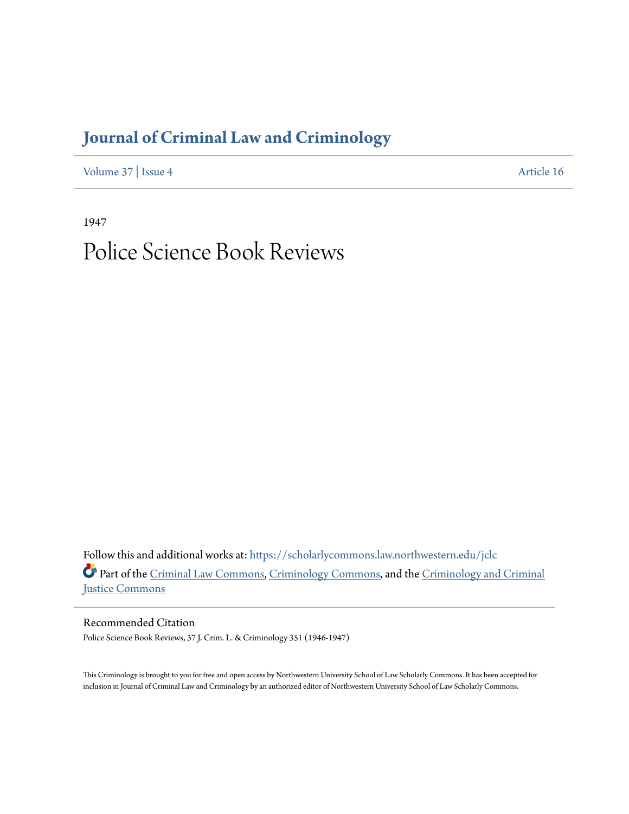## **[Journal of Criminal Law and Criminology](https://scholarlycommons.law.northwestern.edu/jclc?utm_source=scholarlycommons.law.northwestern.edu%2Fjclc%2Fvol37%2Fiss4%2F16&utm_medium=PDF&utm_campaign=PDFCoverPages)**

[Volume 37](https://scholarlycommons.law.northwestern.edu/jclc/vol37?utm_source=scholarlycommons.law.northwestern.edu%2Fjclc%2Fvol37%2Fiss4%2F16&utm_medium=PDF&utm_campaign=PDFCoverPages) | [Issue 4](https://scholarlycommons.law.northwestern.edu/jclc/vol37/iss4?utm_source=scholarlycommons.law.northwestern.edu%2Fjclc%2Fvol37%2Fiss4%2F16&utm_medium=PDF&utm_campaign=PDFCoverPages) [Article 16](https://scholarlycommons.law.northwestern.edu/jclc/vol37/iss4/16?utm_source=scholarlycommons.law.northwestern.edu%2Fjclc%2Fvol37%2Fiss4%2F16&utm_medium=PDF&utm_campaign=PDFCoverPages)

1947

## Police Science Book Reviews

Follow this and additional works at: [https://scholarlycommons.law.northwestern.edu/jclc](https://scholarlycommons.law.northwestern.edu/jclc?utm_source=scholarlycommons.law.northwestern.edu%2Fjclc%2Fvol37%2Fiss4%2F16&utm_medium=PDF&utm_campaign=PDFCoverPages) Part of the [Criminal Law Commons](http://network.bepress.com/hgg/discipline/912?utm_source=scholarlycommons.law.northwestern.edu%2Fjclc%2Fvol37%2Fiss4%2F16&utm_medium=PDF&utm_campaign=PDFCoverPages), [Criminology Commons](http://network.bepress.com/hgg/discipline/417?utm_source=scholarlycommons.law.northwestern.edu%2Fjclc%2Fvol37%2Fiss4%2F16&utm_medium=PDF&utm_campaign=PDFCoverPages), and the [Criminology and Criminal](http://network.bepress.com/hgg/discipline/367?utm_source=scholarlycommons.law.northwestern.edu%2Fjclc%2Fvol37%2Fiss4%2F16&utm_medium=PDF&utm_campaign=PDFCoverPages) [Justice Commons](http://network.bepress.com/hgg/discipline/367?utm_source=scholarlycommons.law.northwestern.edu%2Fjclc%2Fvol37%2Fiss4%2F16&utm_medium=PDF&utm_campaign=PDFCoverPages)

Recommended Citation

Police Science Book Reviews, 37 J. Crim. L. & Criminology 351 (1946-1947)

This Criminology is brought to you for free and open access by Northwestern University School of Law Scholarly Commons. It has been accepted for inclusion in Journal of Criminal Law and Criminology by an authorized editor of Northwestern University School of Law Scholarly Commons.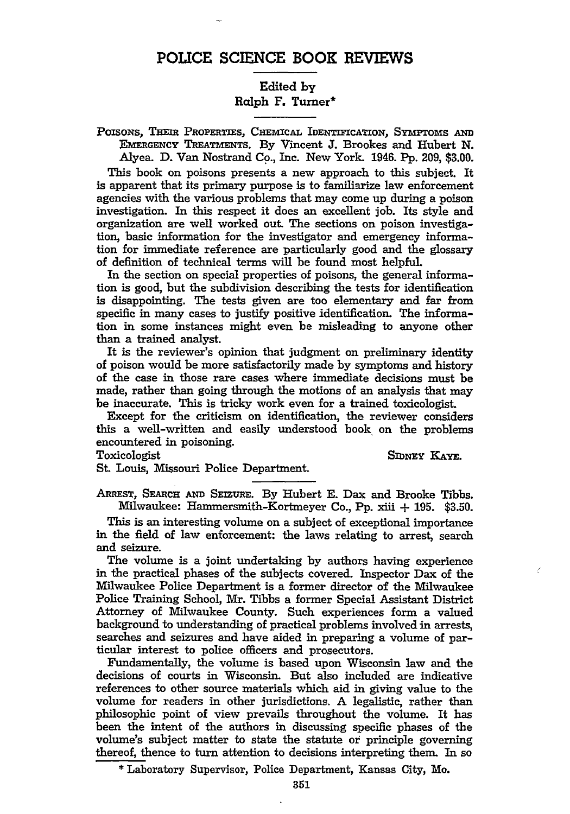## **POLICE SCIENCE BOOK REVIEWS**

## Edited **by Ralph** F. Turner\*

POISONS, THEIR PROPERTIES, CHEMICAL IDENTIFICATION, SYMPTOMS AND **EMERGENCY** TREATMENTs. **By** Vincent **J.** Brookes and Hubert **N.**

Alyea. **D.** Van Nostrand Co., Inc. New York. 1946. **Pp. 209, \$3.00.** This book on poisons presents a new approach to this subject. It

is apparent that its primary purpose is to familiarize law enforcement agencies with the various problems that may come up during a poison investigation. In this respect it does an excellent **job.** Its style and organization are well worked out The sections on poison investigation, basic information for the investigator and emergency information for immediate reference are particularly good and the glossary of definition of technical terms will be found most helpful.

In the section on special properties of poisons, the general information is good, but the subdivision describing the tests for identification is disappointing. The tests given are too elementary and far from specific in many cases to justify positive identification. The information in some instances might even be misleading to anyone other than a trained analyst.

It is the reviewer's opinion that judgment on preliminary identity of poison would be more satisfactorily made **by** symptoms and history of the case in those rare cases where immediate decisions must be made, rather than going through the motions of an analysis that may be inaccurate. This is tricky work even for a trained toxicologist.

Except for the criticism on identification, the reviewer considers this a well-written and easily understood book on the problems encountered in poisoning.

Toxicologist **SDNEY KAYE.** 

St. Louis, Missouri Police Department.

**ARREST, SEARCH AND** SEIZuRE. **By** Hubert **E.** Dax and Brooke Tibbs. Milwaukee: Hammersmith-Kortmeyer Co., **Pp. xiii + 195. \$3.50.**

This is an interesting volume on a subject of exceptional importance in the field of law enforcement: the laws relating to arrest, search and seizure.

The volume is a joint undertaking **by** authors having experience in the practical phases of the subjects covered. Inspector Dax of the Milwaukee Police Department is a former director of the Milwaukee Police Training School, Mr. Tibbs a former Special Assistant District Attorney of Milwaukee County. Such experiences form a valued background to understanding of practical problems involved in arrests, searches and seizures and have aided in preparing a volume of particular interest to police officers and prosecutors.

Fundamentally, the volume is based upon Wisconsin law and the decisions of courts in Wisconsin. But also included are indicative references to other source materials which aid in giving value to the volume for readers in other jurisdictions. A legalistic, rather than philosophic point of view prevails throughout the volume. It has been the intent of the authors in discussing specific phases of the volume's subject matter to state the statute or principle governing thereof, thence to turn attention to decisions interpreting them. In so

\* Laboratory Supervisor, Police Department, Kansas City, Mo.